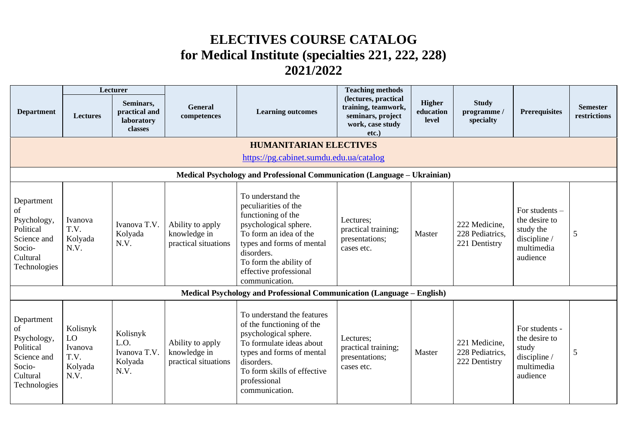## **ELECTIVES COURSE CATALOG for Medical Institute (specialties 221, 222, 228) 2021/2022**

|                                                                                                   |                                                                          | Lecturer                                            |                                                          |                                                                                                                                                                                                                                     | <b>Teaching methods</b>                                                                       |                                     |                                                   |                                                                                        |                                 |
|---------------------------------------------------------------------------------------------------|--------------------------------------------------------------------------|-----------------------------------------------------|----------------------------------------------------------|-------------------------------------------------------------------------------------------------------------------------------------------------------------------------------------------------------------------------------------|-----------------------------------------------------------------------------------------------|-------------------------------------|---------------------------------------------------|----------------------------------------------------------------------------------------|---------------------------------|
| <b>Department</b>                                                                                 | <b>Lectures</b>                                                          | Seminars,<br>practical and<br>laboratory<br>classes | General<br>competences                                   | <b>Learning outcomes</b>                                                                                                                                                                                                            | (lectures, practical<br>training, teamwork,<br>seminars, project<br>work, case study<br>etc.) | <b>Higher</b><br>education<br>level | <b>Study</b><br>programme/<br>specialty           | <b>Prerequisites</b>                                                                   | <b>Semester</b><br>restrictions |
|                                                                                                   |                                                                          |                                                     |                                                          | <b>HUMANITARIAN ELECTIVES</b>                                                                                                                                                                                                       |                                                                                               |                                     |                                                   |                                                                                        |                                 |
|                                                                                                   |                                                                          |                                                     |                                                          | https://pg.cabinet.sumdu.edu.ua/catalog                                                                                                                                                                                             |                                                                                               |                                     |                                                   |                                                                                        |                                 |
|                                                                                                   | Medical Psychology and Professional Communication (Language - Ukrainian) |                                                     |                                                          |                                                                                                                                                                                                                                     |                                                                                               |                                     |                                                   |                                                                                        |                                 |
| Department<br>οf<br>Psychology,<br>Political<br>Science and<br>Socio-<br>Cultural<br>Technologies | Ivanova<br>T.V.<br>Kolyada<br>N.V.                                       | Ivanova T.V.<br>Kolyada<br>N.V.                     | Ability to apply<br>knowledge in<br>practical situations | To understand the<br>peculiarities of the<br>functioning of the<br>psychological sphere.<br>To form an idea of the<br>types and forms of mental<br>disorders.<br>To form the ability of<br>effective professional<br>communication. | Lectures;<br>practical training;<br>presentations;<br>cases etc.                              | Master                              | 222 Medicine,<br>228 Pediatrics,<br>221 Dentistry | For students -<br>the desire to<br>study the<br>discipline /<br>multimedia<br>audience | 5                               |
|                                                                                                   |                                                                          |                                                     |                                                          | Medical Psychology and Professional Communication (Language – English)                                                                                                                                                              |                                                                                               |                                     |                                                   |                                                                                        |                                 |
| Department<br>of<br>Psychology,<br>Political<br>Science and<br>Socio-<br>Cultural<br>Technologies | Kolisnyk<br>LO<br>Ivanova<br>T.V.<br>Kolyada<br>N.V.                     | Kolisnyk<br>L.O.<br>Ivanova T.V.<br>Kolyada<br>N.V. | Ability to apply<br>knowledge in<br>practical situations | To understand the features<br>of the functioning of the<br>psychological sphere.<br>To formulate ideas about<br>types and forms of mental<br>disorders.<br>To form skills of effective<br>professional<br>communication.            | Lectures;<br>practical training;<br>presentations;<br>cases etc.                              | Master                              | 221 Medicine,<br>228 Pediatrics,<br>222 Dentistry | For students -<br>the desire to<br>study<br>discipline /<br>multimedia<br>audience     | 5                               |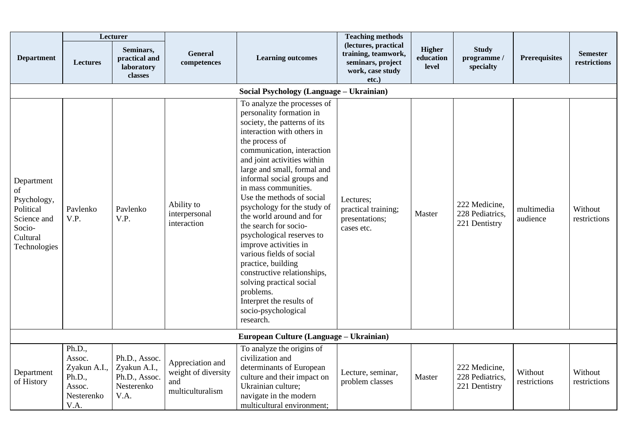|                                                                                                   |                                                                            | Lecturer                                                             |                                                                    |                                                                                                                                                                                                                                                                                                                                                                                                                                                                                                                                                                                                                                                            | <b>Teaching methods</b>                                                                       |                                     |                                                   |                         |                                 |
|---------------------------------------------------------------------------------------------------|----------------------------------------------------------------------------|----------------------------------------------------------------------|--------------------------------------------------------------------|------------------------------------------------------------------------------------------------------------------------------------------------------------------------------------------------------------------------------------------------------------------------------------------------------------------------------------------------------------------------------------------------------------------------------------------------------------------------------------------------------------------------------------------------------------------------------------------------------------------------------------------------------------|-----------------------------------------------------------------------------------------------|-------------------------------------|---------------------------------------------------|-------------------------|---------------------------------|
| <b>Department</b>                                                                                 | <b>Lectures</b>                                                            | Seminars,<br>practical and<br>laboratory<br>classes                  | General<br>competences                                             | <b>Learning outcomes</b>                                                                                                                                                                                                                                                                                                                                                                                                                                                                                                                                                                                                                                   | (lectures, practical<br>training, teamwork,<br>seminars, project<br>work, case study<br>etc.) | <b>Higher</b><br>education<br>level | <b>Study</b><br>programme /<br>specialty          | Prerequisites           | <b>Semester</b><br>restrictions |
|                                                                                                   |                                                                            |                                                                      |                                                                    | Social Psychology (Language - Ukrainian)                                                                                                                                                                                                                                                                                                                                                                                                                                                                                                                                                                                                                   |                                                                                               |                                     |                                                   |                         |                                 |
| Department<br>of<br>Psychology,<br>Political<br>Science and<br>Socio-<br>Cultural<br>Technologies | Pavlenko<br>V.P.                                                           | Pavlenko<br>V.P.                                                     | Ability to<br>interpersonal<br>interaction                         | To analyze the processes of<br>personality formation in<br>society, the patterns of its<br>interaction with others in<br>the process of<br>communication, interaction<br>and joint activities within<br>large and small, formal and<br>informal social groups and<br>in mass communities.<br>Use the methods of social<br>psychology for the study of<br>the world around and for<br>the search for socio-<br>psychological reserves to<br>improve activities in<br>various fields of social<br>practice, building<br>constructive relationships,<br>solving practical social<br>problems.<br>Interpret the results of<br>socio-psychological<br>research. | Lectures;<br>practical training;<br>presentations;<br>cases etc.                              | Master                              | 222 Medicine,<br>228 Pediatrics,<br>221 Dentistry | multimedia<br>audience  | Without<br>restrictions         |
|                                                                                                   |                                                                            |                                                                      |                                                                    | European Culture (Language – Ukrainian)                                                                                                                                                                                                                                                                                                                                                                                                                                                                                                                                                                                                                    |                                                                                               |                                     |                                                   |                         |                                 |
| Department<br>of History                                                                          | Ph.D.,<br>Assoc.<br>Zyakun A.I.,<br>Ph.D.,<br>Assoc.<br>Nesterenko<br>V.A. | Ph.D., Assoc.<br>Zyakun A.I.,<br>Ph.D., Assoc.<br>Nesterenko<br>V.A. | Appreciation and<br>weight of diversity<br>and<br>multiculturalism | To analyze the origins of<br>civilization and<br>determinants of European<br>culture and their impact on<br>Ukrainian culture;<br>navigate in the modern<br>multicultural environment;                                                                                                                                                                                                                                                                                                                                                                                                                                                                     | Lecture, seminar,<br>problem classes                                                          | Master                              | 222 Medicine,<br>228 Pediatrics,<br>221 Dentistry | Without<br>restrictions | Without<br>restrictions         |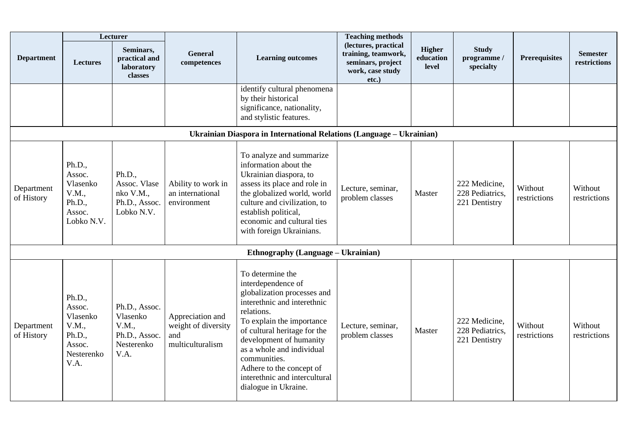|                          |                                                                                 | Lecturer                                                                  |                                                                    |                                                                                                                                                                                                                                                                                                                                              | <b>Teaching methods</b>                                                                       |                                     |                                                   |                         |                                 |
|--------------------------|---------------------------------------------------------------------------------|---------------------------------------------------------------------------|--------------------------------------------------------------------|----------------------------------------------------------------------------------------------------------------------------------------------------------------------------------------------------------------------------------------------------------------------------------------------------------------------------------------------|-----------------------------------------------------------------------------------------------|-------------------------------------|---------------------------------------------------|-------------------------|---------------------------------|
| <b>Department</b>        | <b>Lectures</b>                                                                 | Seminars,<br>practical and<br>laboratory<br>classes                       | <b>General</b><br>competences                                      | <b>Learning outcomes</b>                                                                                                                                                                                                                                                                                                                     | (lectures, practical<br>training, teamwork,<br>seminars, project<br>work, case study<br>etc.) | <b>Higher</b><br>education<br>level | <b>Study</b><br>programme /<br>specialty          | <b>Prerequisites</b>    | <b>Semester</b><br>restrictions |
|                          |                                                                                 |                                                                           |                                                                    | identify cultural phenomena<br>by their historical<br>significance, nationality,<br>and stylistic features.                                                                                                                                                                                                                                  |                                                                                               |                                     |                                                   |                         |                                 |
|                          |                                                                                 |                                                                           |                                                                    | Ukrainian Diaspora in International Relations (Language - Ukrainian)                                                                                                                                                                                                                                                                         |                                                                                               |                                     |                                                   |                         |                                 |
| Department<br>of History | Ph.D.,<br>Assoc.<br>Vlasenko<br>V.M.,<br>Ph.D.,<br>Assoc.<br>Lobko N.V.         | Ph.D.,<br>Assoc. Vlase<br>nko V.M.,<br>Ph.D., Assoc.<br>Lobko N.V.        | Ability to work in<br>an international<br>environment              | To analyze and summarize<br>information about the<br>Ukrainian diaspora, to<br>assess its place and role in<br>the globalized world, world<br>culture and civilization, to<br>establish political,<br>economic and cultural ties<br>with foreign Ukrainians.                                                                                 | Lecture, seminar,<br>problem classes                                                          | Master                              | 222 Medicine,<br>228 Pediatrics,<br>221 Dentistry | Without<br>restrictions | Without<br>restrictions         |
|                          |                                                                                 |                                                                           |                                                                    | Ethnography (Language – Ukrainian)                                                                                                                                                                                                                                                                                                           |                                                                                               |                                     |                                                   |                         |                                 |
| Department<br>of History | Ph.D.,<br>Assoc.<br>Vlasenko<br>V.M.,<br>Ph.D.,<br>Assoc.<br>Nesterenko<br>V.A. | Ph.D., Assoc.<br>Vlasenko<br>V.M.,<br>Ph.D., Assoc.<br>Nesterenko<br>V.A. | Appreciation and<br>weight of diversity<br>and<br>multiculturalism | To determine the<br>interdependence of<br>globalization processes and<br>interethnic and interethnic<br>relations.<br>To explain the importance<br>of cultural heritage for the<br>development of humanity<br>as a whole and individual<br>communities.<br>Adhere to the concept of<br>interethnic and intercultural<br>dialogue in Ukraine. | Lecture, seminar,<br>problem classes                                                          | Master                              | 222 Medicine,<br>228 Pediatrics,<br>221 Dentistry | Without<br>restrictions | Without<br>restrictions         |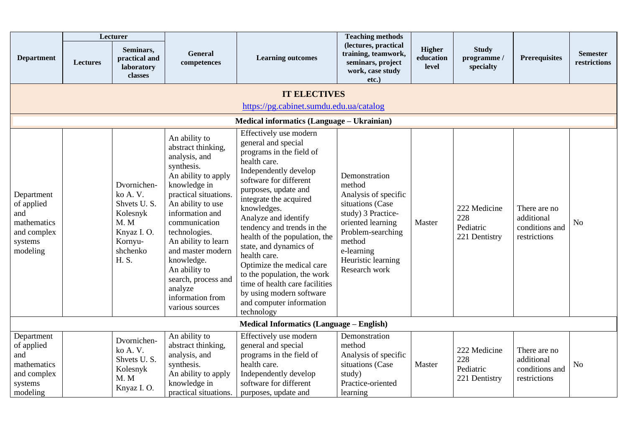|                                                                                      |                 | Lecturer                                                                                                |                                                                                                                                                                                                                                                                                                                                                                  |                                                                                                                                                                                                                                                                                                                                                                                                                                                                                                                    | <b>Teaching methods</b>                                                                                                                                                                            |                                     |                                                   |                                                              |                                 |
|--------------------------------------------------------------------------------------|-----------------|---------------------------------------------------------------------------------------------------------|------------------------------------------------------------------------------------------------------------------------------------------------------------------------------------------------------------------------------------------------------------------------------------------------------------------------------------------------------------------|--------------------------------------------------------------------------------------------------------------------------------------------------------------------------------------------------------------------------------------------------------------------------------------------------------------------------------------------------------------------------------------------------------------------------------------------------------------------------------------------------------------------|----------------------------------------------------------------------------------------------------------------------------------------------------------------------------------------------------|-------------------------------------|---------------------------------------------------|--------------------------------------------------------------|---------------------------------|
| <b>Department</b>                                                                    | <b>Lectures</b> | Seminars,<br>practical and<br>laboratory<br><b>classes</b>                                              | General<br>competences                                                                                                                                                                                                                                                                                                                                           | <b>Learning outcomes</b>                                                                                                                                                                                                                                                                                                                                                                                                                                                                                           | (lectures, practical<br>training, teamwork,<br>seminars, project<br>work, case study<br>$etc.$ )                                                                                                   | <b>Higher</b><br>education<br>level | <b>Study</b><br>programme /<br>specialty          | <b>Prerequisites</b>                                         | <b>Semester</b><br>restrictions |
|                                                                                      |                 |                                                                                                         |                                                                                                                                                                                                                                                                                                                                                                  | <b>IT ELECTIVES</b>                                                                                                                                                                                                                                                                                                                                                                                                                                                                                                |                                                                                                                                                                                                    |                                     |                                                   |                                                              |                                 |
|                                                                                      |                 |                                                                                                         |                                                                                                                                                                                                                                                                                                                                                                  | https://pg.cabinet.sumdu.edu.ua/catalog                                                                                                                                                                                                                                                                                                                                                                                                                                                                            |                                                                                                                                                                                                    |                                     |                                                   |                                                              |                                 |
|                                                                                      |                 |                                                                                                         |                                                                                                                                                                                                                                                                                                                                                                  | Medical informatics (Language - Ukrainian)                                                                                                                                                                                                                                                                                                                                                                                                                                                                         |                                                                                                                                                                                                    |                                     |                                                   |                                                              |                                 |
| Department<br>of applied<br>and<br>mathematics<br>and complex<br>systems<br>modeling |                 | Dvornichen-<br>ko A.V.<br>Shvets U.S.<br>Kolesnyk<br>M. M<br>Knyaz I.O.<br>Kornyu-<br>shchenko<br>H. S. | An ability to<br>abstract thinking,<br>analysis, and<br>synthesis.<br>An ability to apply<br>knowledge in<br>practical situations.<br>An ability to use<br>information and<br>communication<br>technologies.<br>An ability to learn<br>and master modern<br>knowledge.<br>An ability to<br>search, process and<br>analyze<br>information from<br>various sources | Effectively use modern<br>general and special<br>programs in the field of<br>health care.<br>Independently develop<br>software for different<br>purposes, update and<br>integrate the acquired<br>knowledges.<br>Analyze and identify<br>tendency and trends in the<br>health of the population, the<br>state, and dynamics of<br>health care.<br>Optimize the medical care<br>to the population, the work<br>time of health care facilities<br>by using modern software<br>and computer information<br>technology | Demonstration<br>method<br>Analysis of specific<br>situations (Case<br>study) 3 Practice-<br>oriented learning<br>Problem-searching<br>method<br>e-learning<br>Heuristic learning<br>Research work | Master                              | 222 Medicine<br>228<br>Pediatric<br>221 Dentistry | There are no<br>additional<br>conditions and<br>restrictions | N <sub>o</sub>                  |
|                                                                                      |                 |                                                                                                         |                                                                                                                                                                                                                                                                                                                                                                  | <b>Medical Informatics (Language – English)</b>                                                                                                                                                                                                                                                                                                                                                                                                                                                                    |                                                                                                                                                                                                    |                                     |                                                   |                                                              |                                 |
| Department<br>of applied<br>and<br>mathematics<br>and complex<br>systems<br>modeling |                 | Dvornichen-<br>ko A.V.<br>Shvets U.S.<br>Kolesnyk<br>M.M<br>Knyaz I.O.                                  | An ability to<br>abstract thinking,<br>analysis, and<br>synthesis.<br>An ability to apply<br>knowledge in<br>practical situations.                                                                                                                                                                                                                               | Effectively use modern<br>general and special<br>programs in the field of<br>health care.<br>Independently develop<br>software for different<br>purposes, update and                                                                                                                                                                                                                                                                                                                                               | Demonstration<br>method<br>Analysis of specific<br>situations (Case<br>study)<br>Practice-oriented<br>learning                                                                                     | Master                              | 222 Medicine<br>228<br>Pediatric<br>221 Dentistry | There are no<br>additional<br>conditions and<br>restrictions | N <sub>o</sub>                  |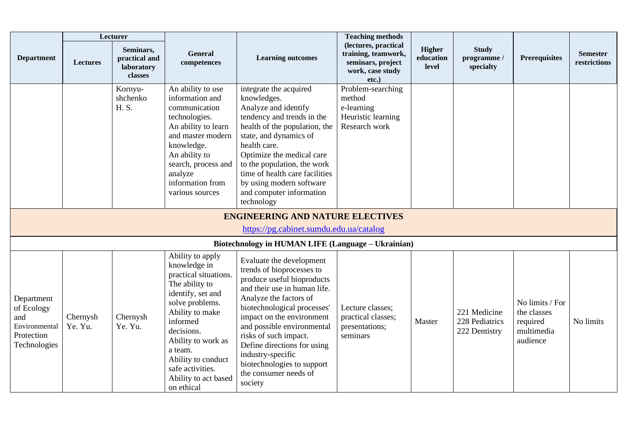|                                                                                |                     | Lecturer                                            |                                                                                                                                                                                                                                                                                   |                                                                                                                                                                                                                                                                                                                                                                                        | <b>Teaching methods</b>                                                                       |                                     |                                                 |                                                                      |                                 |
|--------------------------------------------------------------------------------|---------------------|-----------------------------------------------------|-----------------------------------------------------------------------------------------------------------------------------------------------------------------------------------------------------------------------------------------------------------------------------------|----------------------------------------------------------------------------------------------------------------------------------------------------------------------------------------------------------------------------------------------------------------------------------------------------------------------------------------------------------------------------------------|-----------------------------------------------------------------------------------------------|-------------------------------------|-------------------------------------------------|----------------------------------------------------------------------|---------------------------------|
| <b>Department</b>                                                              | Lectures            | Seminars,<br>practical and<br>laboratory<br>classes | General<br>competences                                                                                                                                                                                                                                                            | <b>Learning outcomes</b>                                                                                                                                                                                                                                                                                                                                                               | (lectures, practical<br>training, teamwork,<br>seminars, project<br>work, case study<br>etc.) | <b>Higher</b><br>education<br>level | <b>Study</b><br>programme /<br>specialty        | <b>Prerequisites</b>                                                 | <b>Semester</b><br>restrictions |
|                                                                                |                     | Kornyu-<br>shchenko<br>H. S.                        | An ability to use<br>information and<br>communication<br>technologies.<br>An ability to learn<br>and master modern<br>knowledge.<br>An ability to<br>search, process and<br>analyze<br>information from<br>various sources                                                        | integrate the acquired<br>knowledges.<br>Analyze and identify<br>tendency and trends in the<br>health of the population, the<br>state, and dynamics of<br>health care.<br>Optimize the medical care<br>to the population, the work<br>time of health care facilities<br>by using modern software<br>and computer information<br>technology                                             | Problem-searching<br>method<br>e-learning<br>Heuristic learning<br>Research work              |                                     |                                                 |                                                                      |                                 |
|                                                                                |                     |                                                     |                                                                                                                                                                                                                                                                                   | <b>ENGINEERING AND NATURE ELECTIVES</b><br>https://pg.cabinet.sumdu.edu.ua/catalog                                                                                                                                                                                                                                                                                                     |                                                                                               |                                     |                                                 |                                                                      |                                 |
|                                                                                |                     |                                                     |                                                                                                                                                                                                                                                                                   | Biotechnology in HUMAN LIFE (Language - Ukrainian)                                                                                                                                                                                                                                                                                                                                     |                                                                                               |                                     |                                                 |                                                                      |                                 |
| Department<br>of Ecology<br>and<br>Environmental<br>Protection<br>Technologies | Chernysh<br>Ye. Yu. | Chernysh<br>Ye. Yu.                                 | Ability to apply<br>knowledge in<br>practical situations.<br>The ability to<br>identify, set and<br>solve problems.<br>Ability to make<br>informed<br>decisions.<br>Ability to work as<br>a team.<br>Ability to conduct<br>safe activities.<br>Ability to act based<br>on ethical | Evaluate the development<br>trends of bioprocesses to<br>produce useful bioproducts<br>and their use in human life.<br>Analyze the factors of<br>biotechnological processes'<br>impact on the environment<br>and possible environmental<br>risks of such impact.<br>Define directions for using<br>industry-specific<br>biotechnologies to support<br>the consumer needs of<br>society | Lecture classes;<br>practical classes;<br>presentations;<br>seminars                          | Master                              | 221 Medicine<br>228 Pediatrics<br>222 Dentistry | No limits / For<br>the classes<br>required<br>multimedia<br>audience | No limits                       |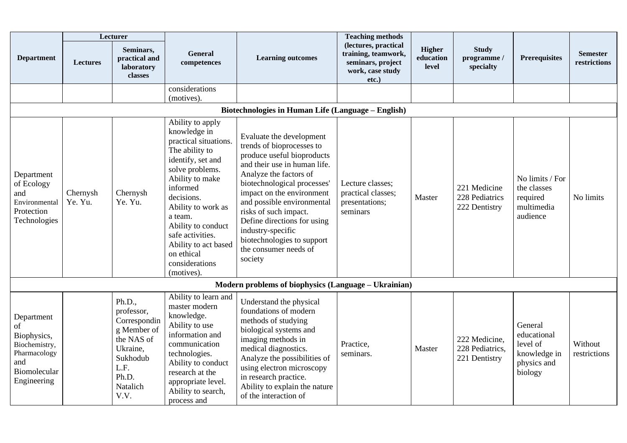|                                                                                                        |                     | Lecturer                                                                                                                       |                                                                                                                                                                                                                                                                                               |                                                                                                                                                                                                                                                                                                                                                                                        | <b>Teaching methods</b>                                                                          |                                     |                                                   |                                                                              |                                 |
|--------------------------------------------------------------------------------------------------------|---------------------|--------------------------------------------------------------------------------------------------------------------------------|-----------------------------------------------------------------------------------------------------------------------------------------------------------------------------------------------------------------------------------------------------------------------------------------------|----------------------------------------------------------------------------------------------------------------------------------------------------------------------------------------------------------------------------------------------------------------------------------------------------------------------------------------------------------------------------------------|--------------------------------------------------------------------------------------------------|-------------------------------------|---------------------------------------------------|------------------------------------------------------------------------------|---------------------------------|
| <b>Department</b>                                                                                      | <b>Lectures</b>     | Seminars,<br>practical and<br>laboratory<br>classes                                                                            | General<br>competences                                                                                                                                                                                                                                                                        | <b>Learning outcomes</b>                                                                                                                                                                                                                                                                                                                                                               | (lectures, practical<br>training, teamwork,<br>seminars, project<br>work, case study<br>$etc.$ ) | <b>Higher</b><br>education<br>level | <b>Study</b><br>programme /<br>specialty          | <b>Prerequisites</b>                                                         | <b>Semester</b><br>restrictions |
|                                                                                                        |                     |                                                                                                                                | considerations                                                                                                                                                                                                                                                                                |                                                                                                                                                                                                                                                                                                                                                                                        |                                                                                                  |                                     |                                                   |                                                                              |                                 |
|                                                                                                        |                     |                                                                                                                                | (motives).                                                                                                                                                                                                                                                                                    | Biotechnologies in Human Life (Language - English)                                                                                                                                                                                                                                                                                                                                     |                                                                                                  |                                     |                                                   |                                                                              |                                 |
|                                                                                                        |                     |                                                                                                                                | Ability to apply                                                                                                                                                                                                                                                                              |                                                                                                                                                                                                                                                                                                                                                                                        |                                                                                                  |                                     |                                                   |                                                                              |                                 |
| Department<br>of Ecology<br>and<br>Environmental<br>Protection<br>Technologies                         | Chernysh<br>Ye. Yu. | Chernysh<br>Ye. Yu.                                                                                                            | knowledge in<br>practical situations.<br>The ability to<br>identify, set and<br>solve problems.<br>Ability to make<br>informed<br>decisions.<br>Ability to work as<br>a team.<br>Ability to conduct<br>safe activities.<br>Ability to act based<br>on ethical<br>considerations<br>(motives). | Evaluate the development<br>trends of bioprocesses to<br>produce useful bioproducts<br>and their use in human life.<br>Analyze the factors of<br>biotechnological processes'<br>impact on the environment<br>and possible environmental<br>risks of such impact.<br>Define directions for using<br>industry-specific<br>biotechnologies to support<br>the consumer needs of<br>society | Lecture classes;<br>practical classes;<br>presentations;<br>seminars                             | Master                              | 221 Medicine<br>228 Pediatrics<br>222 Dentistry   | No limits / For<br>the classes<br>required<br>multimedia<br>audience         | No limits                       |
|                                                                                                        |                     |                                                                                                                                |                                                                                                                                                                                                                                                                                               | Modern problems of biophysics (Language - Ukrainian)                                                                                                                                                                                                                                                                                                                                   |                                                                                                  |                                     |                                                   |                                                                              |                                 |
| Department<br>of<br>Biophysics,<br>Biochemistry,<br>Pharmacology<br>and<br>Biomolecular<br>Engineering |                     | Ph.D.,<br>professor,<br>Correspondin<br>g Member of<br>the NAS of<br>Ukraine,<br>Sukhodub<br>L.F.<br>Ph.D.<br>Natalich<br>V.V. | Ability to learn and<br>master modern<br>knowledge.<br>Ability to use<br>information and<br>communication<br>technologies.<br>Ability to conduct<br>research at the<br>appropriate level.<br>Ability to search,<br>process and                                                                | Understand the physical<br>foundations of modern<br>methods of studying<br>biological systems and<br>imaging methods in<br>medical diagnostics.<br>Analyze the possibilities of<br>using electron microscopy<br>in research practice.<br>Ability to explain the nature<br>of the interaction of                                                                                        | Practice,<br>seminars.                                                                           | Master                              | 222 Medicine,<br>228 Pediatrics,<br>221 Dentistry | General<br>educational<br>level of<br>knowledge in<br>physics and<br>biology | Without<br>restrictions         |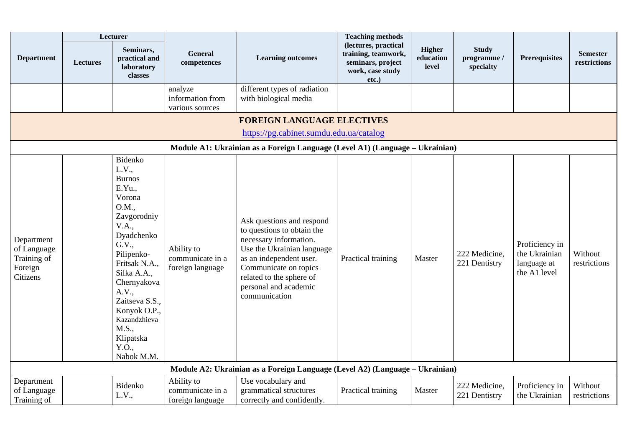|                                                                 |                 | Lecturer                                                                                                                                                                                                                                                                          |                                                    |                                                                                                                                                                                                                                           | <b>Teaching methods</b>                                                                          |                              |                                          |                                                                |                                 |
|-----------------------------------------------------------------|-----------------|-----------------------------------------------------------------------------------------------------------------------------------------------------------------------------------------------------------------------------------------------------------------------------------|----------------------------------------------------|-------------------------------------------------------------------------------------------------------------------------------------------------------------------------------------------------------------------------------------------|--------------------------------------------------------------------------------------------------|------------------------------|------------------------------------------|----------------------------------------------------------------|---------------------------------|
| <b>Department</b>                                               | <b>Lectures</b> | Seminars,<br>practical and<br>laboratory<br>classes                                                                                                                                                                                                                               | <b>General</b><br>competences                      | <b>Learning outcomes</b>                                                                                                                                                                                                                  | (lectures, practical<br>training, teamwork,<br>seminars, project<br>work, case study<br>$etc.$ ) | Higher<br>education<br>level | <b>Study</b><br>programme /<br>specialty | <b>Prerequisites</b>                                           | <b>Semester</b><br>restrictions |
|                                                                 |                 |                                                                                                                                                                                                                                                                                   | analyze<br>information from<br>various sources     | different types of radiation<br>with biological media                                                                                                                                                                                     |                                                                                                  |                              |                                          |                                                                |                                 |
|                                                                 |                 |                                                                                                                                                                                                                                                                                   |                                                    | <b>FOREIGN LANGUAGE ELECTIVES</b>                                                                                                                                                                                                         |                                                                                                  |                              |                                          |                                                                |                                 |
|                                                                 |                 |                                                                                                                                                                                                                                                                                   |                                                    | https://pg.cabinet.sumdu.edu.ua/catalog                                                                                                                                                                                                   |                                                                                                  |                              |                                          |                                                                |                                 |
|                                                                 |                 |                                                                                                                                                                                                                                                                                   |                                                    | Module A1: Ukrainian as a Foreign Language (Level A1) (Language – Ukrainian)                                                                                                                                                              |                                                                                                  |                              |                                          |                                                                |                                 |
| Department<br>of Language<br>Training of<br>Foreign<br>Citizens |                 | Bidenko<br>L.V.,<br><b>Burnos</b><br>E.Yu.<br>Vorona<br>O.M.,<br>Zavgorodniy<br>V.A.,<br>Dyadchenko<br>G.V.,<br>Pilipenko-<br>Fritsak N.A.,<br>Silka A.A.,<br>Chernyakova<br>A.V.,<br>Zaitseva S.S.,<br>Konyok O.P.,<br>Kazandzhieva<br>M.S.,<br>Klipatska<br>Y.O.,<br>Nabok M.M. | Ability to<br>communicate in a<br>foreign language | Ask questions and respond<br>to questions to obtain the<br>necessary information.<br>Use the Ukrainian language<br>as an independent user.<br>Communicate on topics<br>related to the sphere of<br>personal and academic<br>communication | Practical training                                                                               | Master                       | 222 Medicine,<br>221 Dentistry           | Proficiency in<br>the Ukrainian<br>language at<br>the A1 level | Without<br>restrictions         |
|                                                                 |                 |                                                                                                                                                                                                                                                                                   |                                                    | Module A2: Ukrainian as a Foreign Language (Level A2) (Language - Ukrainian)                                                                                                                                                              |                                                                                                  |                              |                                          |                                                                |                                 |
| Department<br>of Language<br>Training of                        |                 | Bidenko<br>L.V.,                                                                                                                                                                                                                                                                  | Ability to<br>communicate in a<br>foreign language | Use vocabulary and<br>grammatical structures<br>correctly and confidently.                                                                                                                                                                | Practical training                                                                               | Master                       | 222 Medicine,<br>221 Dentistry           | Proficiency in<br>the Ukrainian                                | Without<br>restrictions         |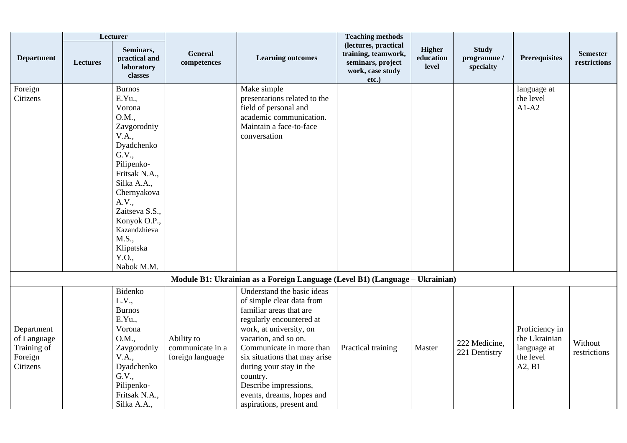|                                                                 |          | Lecturer                                                                                                                                                                                                                                                       |                                                    |                                                                                                                                                                                                                                                                                                                                                         | <b>Teaching methods</b>                                                                       |                                     |                                          |                                                                       |                                 |
|-----------------------------------------------------------------|----------|----------------------------------------------------------------------------------------------------------------------------------------------------------------------------------------------------------------------------------------------------------------|----------------------------------------------------|---------------------------------------------------------------------------------------------------------------------------------------------------------------------------------------------------------------------------------------------------------------------------------------------------------------------------------------------------------|-----------------------------------------------------------------------------------------------|-------------------------------------|------------------------------------------|-----------------------------------------------------------------------|---------------------------------|
| <b>Department</b>                                               | Lectures | Seminars,<br>practical and<br>laboratory<br>classes                                                                                                                                                                                                            | <b>General</b><br>competences                      | <b>Learning outcomes</b>                                                                                                                                                                                                                                                                                                                                | (lectures, practical<br>training, teamwork,<br>seminars, project<br>work, case study<br>etc.) | <b>Higher</b><br>education<br>level | <b>Study</b><br>programme /<br>specialty | <b>Prerequisites</b>                                                  | <b>Semester</b><br>restrictions |
| Foreign<br>Citizens                                             |          | <b>Burnos</b><br>E.Yu.,<br>Vorona<br>O.M.,<br>Zavgorodniy<br>V.A.,<br>Dyadchenko<br>G.V.,<br>Pilipenko-<br>Fritsak N.A.,<br>Silka A.A.,<br>Chernyakova<br>A.V.,<br>Zaitseva S.S.,<br>Konyok O.P.,<br>Kazandzhieva<br>M.S.,<br>Klipatska<br>Y.O.,<br>Nabok M.M. |                                                    | Make simple<br>presentations related to the<br>field of personal and<br>academic communication.<br>Maintain a face-to-face<br>conversation                                                                                                                                                                                                              |                                                                                               |                                     |                                          | language at<br>the level<br>$A1-A2$                                   |                                 |
|                                                                 |          |                                                                                                                                                                                                                                                                |                                                    | Module B1: Ukrainian as a Foreign Language (Level B1) (Language - Ukrainian)                                                                                                                                                                                                                                                                            |                                                                                               |                                     |                                          |                                                                       |                                 |
| Department<br>of Language<br>Training of<br>Foreign<br>Citizens |          | Bidenko<br>L.V.,<br><b>Burnos</b><br>E.Yu.,<br>Vorona<br>O.M.,<br>Zavgorodniy<br>V.A.,<br>Dyadchenko<br>G.V.,<br>Pilipenko-<br>Fritsak N.A.,<br>Silka A.A.,                                                                                                    | Ability to<br>communicate in a<br>foreign language | Understand the basic ideas<br>of simple clear data from<br>familiar areas that are<br>regularly encountered at<br>work, at university, on<br>vacation, and so on.<br>Communicate in more than<br>six situations that may arise<br>during your stay in the<br>country.<br>Describe impressions,<br>events, dreams, hopes and<br>aspirations, present and | Practical training                                                                            | Master                              | 222 Medicine,<br>221 Dentistry           | Proficiency in<br>the Ukrainian<br>language at<br>the level<br>A2, B1 | Without<br>restrictions         |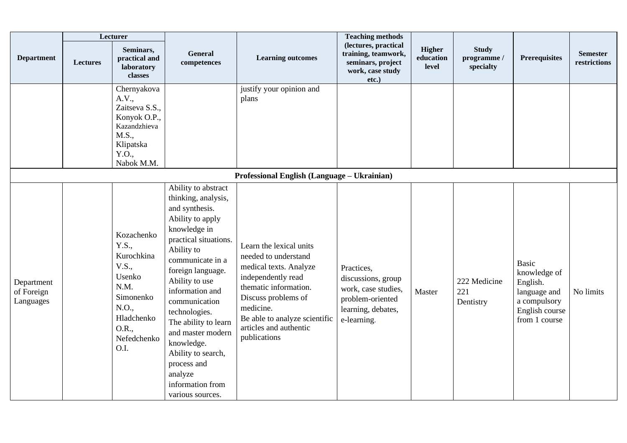|                                       |                 | Lecturer                                                                                                                         |                                                                                                                                                                                                                                                                                                                                                                                                            |                                                                                                                                                                                                                                         | <b>Teaching methods</b>                                                                                          |                                     |                                          |                                                                                                             |                                 |
|---------------------------------------|-----------------|----------------------------------------------------------------------------------------------------------------------------------|------------------------------------------------------------------------------------------------------------------------------------------------------------------------------------------------------------------------------------------------------------------------------------------------------------------------------------------------------------------------------------------------------------|-----------------------------------------------------------------------------------------------------------------------------------------------------------------------------------------------------------------------------------------|------------------------------------------------------------------------------------------------------------------|-------------------------------------|------------------------------------------|-------------------------------------------------------------------------------------------------------------|---------------------------------|
| <b>Department</b>                     | <b>Lectures</b> | Seminars,<br>practical and<br>laboratory<br>classes                                                                              | General<br>competences                                                                                                                                                                                                                                                                                                                                                                                     | <b>Learning outcomes</b>                                                                                                                                                                                                                | (lectures, practical<br>training, teamwork,<br>seminars, project<br>work, case study<br>etc.)                    | <b>Higher</b><br>education<br>level | <b>Study</b><br>programme /<br>specialty | <b>Prerequisites</b>                                                                                        | <b>Semester</b><br>restrictions |
|                                       |                 | Chernyakova<br>A.V.,<br>Zaitseva S.S.,<br>Konyok O.P.,<br>Kazandzhieva<br>M.S.,<br>Klipatska<br>Y.O.,<br>Nabok M.M.              |                                                                                                                                                                                                                                                                                                                                                                                                            | justify your opinion and<br>plans                                                                                                                                                                                                       |                                                                                                                  |                                     |                                          |                                                                                                             |                                 |
|                                       |                 |                                                                                                                                  |                                                                                                                                                                                                                                                                                                                                                                                                            | Professional English (Language – Ukrainian)                                                                                                                                                                                             |                                                                                                                  |                                     |                                          |                                                                                                             |                                 |
| Department<br>of Foreign<br>Languages |                 | Kozachenko<br>Y.S.,<br>Kurochkina<br>V.S.,<br>Usenko<br>N.M.<br>Simonenko<br>N.O.,<br>Hladchenko<br>O.R.,<br>Nefedchenko<br>O.I. | Ability to abstract<br>thinking, analysis,<br>and synthesis.<br>Ability to apply<br>knowledge in<br>practical situations.<br>Ability to<br>communicate in a<br>foreign language.<br>Ability to use<br>information and<br>communication<br>technologies.<br>The ability to learn<br>and master modern<br>knowledge.<br>Ability to search,<br>process and<br>analyze<br>information from<br>various sources. | Learn the lexical units<br>needed to understand<br>medical texts. Analyze<br>independently read<br>thematic information.<br>Discuss problems of<br>medicine.<br>Be able to analyze scientific<br>articles and authentic<br>publications | Practices,<br>discussions, group<br>work, case studies,<br>problem-oriented<br>learning, debates,<br>e-learning. | Master                              | 222 Medicine<br>221<br>Dentistry         | <b>Basic</b><br>knowledge of<br>English.<br>language and<br>a compulsory<br>English course<br>from 1 course | No limits                       |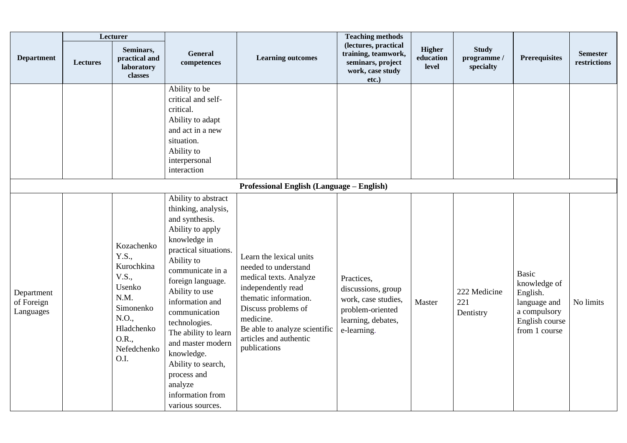|                                       |                 | Lecturer                                                                                                                         |                                                                                                                                                                                                                                                                                                                                                                                                            |                                                                                                                                                                                                                                         | <b>Teaching methods</b>                                                                                          |                                     |                                          |                                                                                                             |                                 |
|---------------------------------------|-----------------|----------------------------------------------------------------------------------------------------------------------------------|------------------------------------------------------------------------------------------------------------------------------------------------------------------------------------------------------------------------------------------------------------------------------------------------------------------------------------------------------------------------------------------------------------|-----------------------------------------------------------------------------------------------------------------------------------------------------------------------------------------------------------------------------------------|------------------------------------------------------------------------------------------------------------------|-------------------------------------|------------------------------------------|-------------------------------------------------------------------------------------------------------------|---------------------------------|
| <b>Department</b>                     | <b>Lectures</b> | Seminars,<br>practical and<br>laboratory<br>classes                                                                              | General<br>competences                                                                                                                                                                                                                                                                                                                                                                                     | <b>Learning outcomes</b>                                                                                                                                                                                                                | (lectures, practical<br>training, teamwork,<br>seminars, project<br>work, case study<br>etc.)                    | <b>Higher</b><br>education<br>level | <b>Study</b><br>programme /<br>specialty | Prerequisites                                                                                               | <b>Semester</b><br>restrictions |
|                                       |                 |                                                                                                                                  | Ability to be<br>critical and self-<br>critical.<br>Ability to adapt<br>and act in a new<br>situation.<br>Ability to<br>interpersonal<br>interaction                                                                                                                                                                                                                                                       |                                                                                                                                                                                                                                         |                                                                                                                  |                                     |                                          |                                                                                                             |                                 |
|                                       |                 |                                                                                                                                  |                                                                                                                                                                                                                                                                                                                                                                                                            | <b>Professional English (Language – English)</b>                                                                                                                                                                                        |                                                                                                                  |                                     |                                          |                                                                                                             |                                 |
| Department<br>of Foreign<br>Languages |                 | Kozachenko<br>Y.S.,<br>Kurochkina<br>V.S.,<br>Usenko<br>N.M.<br>Simonenko<br>N.O.,<br>Hladchenko<br>O.R.,<br>Nefedchenko<br>O.I. | Ability to abstract<br>thinking, analysis,<br>and synthesis.<br>Ability to apply<br>knowledge in<br>practical situations.<br>Ability to<br>communicate in a<br>foreign language.<br>Ability to use<br>information and<br>communication<br>technologies.<br>The ability to learn<br>and master modern<br>knowledge.<br>Ability to search,<br>process and<br>analyze<br>information from<br>various sources. | Learn the lexical units<br>needed to understand<br>medical texts. Analyze<br>independently read<br>thematic information.<br>Discuss problems of<br>medicine.<br>Be able to analyze scientific<br>articles and authentic<br>publications | Practices,<br>discussions, group<br>work, case studies,<br>problem-oriented<br>learning, debates,<br>e-learning. | Master                              | 222 Medicine<br>221<br>Dentistry         | <b>Basic</b><br>knowledge of<br>English.<br>language and<br>a compulsory<br>English course<br>from 1 course | No limits                       |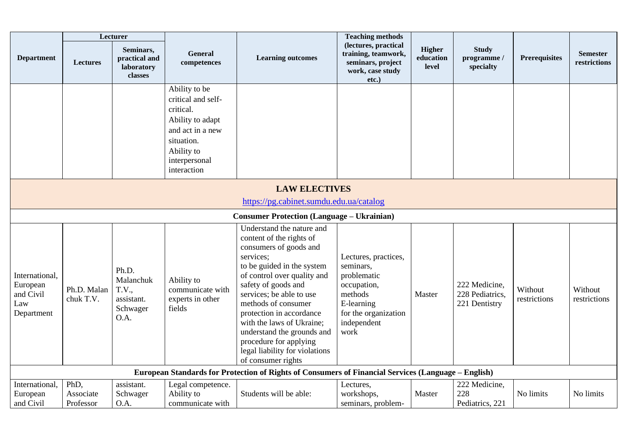|                                                              |                                | Lecturer                                                      |                                                                                                                                                      |                                                                                                                                                                                                                                                                                                                                                                                                              | <b>Teaching methods</b>                                                                                                                 |                                     |                                                   |                         |                                 |
|--------------------------------------------------------------|--------------------------------|---------------------------------------------------------------|------------------------------------------------------------------------------------------------------------------------------------------------------|--------------------------------------------------------------------------------------------------------------------------------------------------------------------------------------------------------------------------------------------------------------------------------------------------------------------------------------------------------------------------------------------------------------|-----------------------------------------------------------------------------------------------------------------------------------------|-------------------------------------|---------------------------------------------------|-------------------------|---------------------------------|
| <b>Department</b>                                            | Lectures                       | Seminars,<br>practical and<br>laboratory<br>classes           | General<br>competences                                                                                                                               | <b>Learning outcomes</b>                                                                                                                                                                                                                                                                                                                                                                                     | (lectures, practical<br>training, teamwork,<br>seminars, project<br>work, case study<br>etc.)                                           | <b>Higher</b><br>education<br>level | <b>Study</b><br>programme /<br>specialty          | Prerequisites           | <b>Semester</b><br>restrictions |
|                                                              |                                |                                                               | Ability to be<br>critical and self-<br>critical.<br>Ability to adapt<br>and act in a new<br>situation.<br>Ability to<br>interpersonal<br>interaction |                                                                                                                                                                                                                                                                                                                                                                                                              |                                                                                                                                         |                                     |                                                   |                         |                                 |
|                                                              |                                |                                                               |                                                                                                                                                      | <b>LAW ELECTIVES</b><br>https://pg.cabinet.sumdu.edu.ua/catalog                                                                                                                                                                                                                                                                                                                                              |                                                                                                                                         |                                     |                                                   |                         |                                 |
|                                                              |                                |                                                               |                                                                                                                                                      | <b>Consumer Protection (Language - Ukrainian)</b>                                                                                                                                                                                                                                                                                                                                                            |                                                                                                                                         |                                     |                                                   |                         |                                 |
| International,<br>European<br>and Civil<br>Law<br>Department | Ph.D. Malan<br>chuk T.V.       | Ph.D.<br>Malanchuk<br>T.V.,<br>assistant.<br>Schwager<br>O.A. | Ability to<br>communicate with<br>experts in other<br>fields                                                                                         | Understand the nature and<br>content of the rights of<br>consumers of goods and<br>services;<br>to be guided in the system<br>of control over quality and<br>safety of goods and<br>services; be able to use<br>methods of consumer<br>protection in accordance<br>with the laws of Ukraine;<br>understand the grounds and<br>procedure for applying<br>legal liability for violations<br>of consumer rights | Lectures, practices,<br>seminars,<br>problematic<br>occupation,<br>methods<br>E-learning<br>for the organization<br>independent<br>work | Master                              | 222 Medicine,<br>228 Pediatrics,<br>221 Dentistry | Without<br>restrictions | Without<br>restrictions         |
|                                                              |                                |                                                               |                                                                                                                                                      | European Standards for Protection of Rights of Consumers of Financial Services (Language – English)                                                                                                                                                                                                                                                                                                          |                                                                                                                                         |                                     |                                                   |                         |                                 |
| International,<br>European<br>and Civil                      | PhD,<br>Associate<br>Professor | assistant.<br>Schwager<br>O.A.                                | Legal competence.<br>Ability to<br>communicate with                                                                                                  | Students will be able:                                                                                                                                                                                                                                                                                                                                                                                       | Lectures,<br>workshops,<br>seminars, problem-                                                                                           | Master                              | 222 Medicine,<br>228<br>Pediatrics, 221           | No limits               | No limits                       |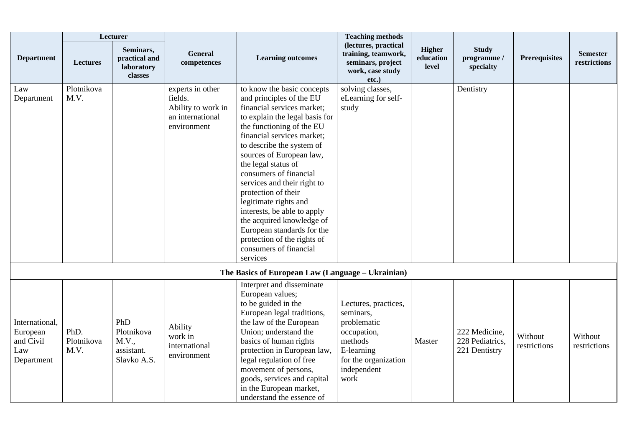|                                                              |                            | Lecturer                                                |                                                                                      |                                                                                                                                                                                                                                                                                                                                                                                                                                                                                                                                           | <b>Teaching methods</b>                                                                                                                 |                                     |                                                   |                         |                                 |
|--------------------------------------------------------------|----------------------------|---------------------------------------------------------|--------------------------------------------------------------------------------------|-------------------------------------------------------------------------------------------------------------------------------------------------------------------------------------------------------------------------------------------------------------------------------------------------------------------------------------------------------------------------------------------------------------------------------------------------------------------------------------------------------------------------------------------|-----------------------------------------------------------------------------------------------------------------------------------------|-------------------------------------|---------------------------------------------------|-------------------------|---------------------------------|
| <b>Department</b>                                            | Lectures                   | Seminars,<br>practical and<br>laboratory<br>classes     | <b>General</b><br>competences                                                        | <b>Learning outcomes</b>                                                                                                                                                                                                                                                                                                                                                                                                                                                                                                                  | (lectures, practical<br>training, teamwork,<br>seminars, project<br>work, case study<br>$etc.$ )                                        | <b>Higher</b><br>education<br>level | <b>Study</b><br>programme /<br>specialty          | <b>Prerequisites</b>    | <b>Semester</b><br>restrictions |
| Law<br>Department                                            | Plotnikova<br>M.V.         |                                                         | experts in other<br>fields.<br>Ability to work in<br>an international<br>environment | to know the basic concepts<br>and principles of the EU<br>financial services market;<br>to explain the legal basis for<br>the functioning of the EU<br>financial services market;<br>to describe the system of<br>sources of European law,<br>the legal status of<br>consumers of financial<br>services and their right to<br>protection of their<br>legitimate rights and<br>interests, be able to apply<br>the acquired knowledge of<br>European standards for the<br>protection of the rights of<br>consumers of financial<br>services | solving classes,<br>eLearning for self-<br>study                                                                                        |                                     | Dentistry                                         |                         |                                 |
|                                                              |                            |                                                         |                                                                                      | The Basics of European Law (Language - Ukrainian)                                                                                                                                                                                                                                                                                                                                                                                                                                                                                         |                                                                                                                                         |                                     |                                                   |                         |                                 |
| International,<br>European<br>and Civil<br>Law<br>Department | PhD.<br>Plotnikova<br>M.V. | PhD<br>Plotnikova<br>M.V.,<br>assistant.<br>Slavko A.S. | Ability<br>work in<br>international<br>environment                                   | Interpret and disseminate<br>European values;<br>to be guided in the<br>European legal traditions,<br>the law of the European<br>Union; understand the<br>basics of human rights<br>protection in European law,<br>legal regulation of free<br>movement of persons,<br>goods, services and capital<br>in the European market,<br>understand the essence of                                                                                                                                                                                | Lectures, practices,<br>seminars,<br>problematic<br>occupation,<br>methods<br>E-learning<br>for the organization<br>independent<br>work | Master                              | 222 Medicine,<br>228 Pediatrics,<br>221 Dentistry | Without<br>restrictions | Without<br>restrictions         |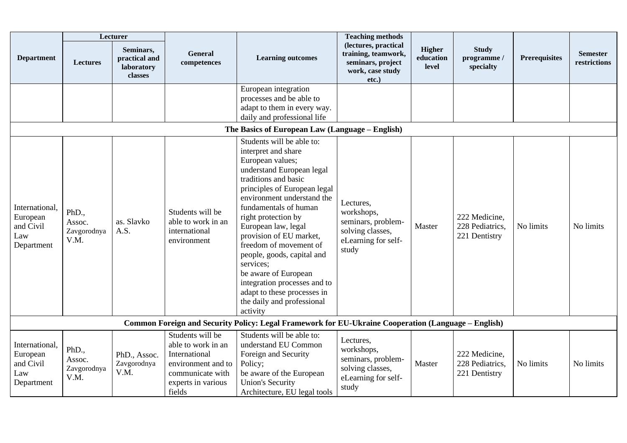|                                                              | Lecturer                               |                                                     |                                                                                                                                   |                                                                                                                                                                                                                                                                                                                                                                                                                                                                                                 | <b>Teaching methods</b>                                                                           |                                     |                                                   |                      |                                 |
|--------------------------------------------------------------|----------------------------------------|-----------------------------------------------------|-----------------------------------------------------------------------------------------------------------------------------------|-------------------------------------------------------------------------------------------------------------------------------------------------------------------------------------------------------------------------------------------------------------------------------------------------------------------------------------------------------------------------------------------------------------------------------------------------------------------------------------------------|---------------------------------------------------------------------------------------------------|-------------------------------------|---------------------------------------------------|----------------------|---------------------------------|
| <b>Department</b>                                            | <b>Lectures</b>                        | Seminars,<br>practical and<br>laboratory<br>classes | <b>General</b><br>competences                                                                                                     | <b>Learning outcomes</b>                                                                                                                                                                                                                                                                                                                                                                                                                                                                        | (lectures, practical<br>training, teamwork,<br>seminars, project<br>work, case study<br>etc.)     | <b>Higher</b><br>education<br>level | <b>Study</b><br>programme /<br>specialty          | <b>Prerequisites</b> | <b>Semester</b><br>restrictions |
|                                                              |                                        |                                                     |                                                                                                                                   | European integration<br>processes and be able to<br>adapt to them in every way.<br>daily and professional life                                                                                                                                                                                                                                                                                                                                                                                  |                                                                                                   |                                     |                                                   |                      |                                 |
|                                                              |                                        |                                                     |                                                                                                                                   | The Basics of European Law (Language – English)                                                                                                                                                                                                                                                                                                                                                                                                                                                 |                                                                                                   |                                     |                                                   |                      |                                 |
| International,<br>European<br>and Civil<br>Law<br>Department | PhD.,<br>Assoc.<br>Zavgorodnya<br>V.M. | as. Slavko<br>A.S.                                  | Students will be<br>able to work in an<br>international<br>environment                                                            | Students will be able to:<br>interpret and share<br>European values;<br>understand European legal<br>traditions and basic<br>principles of European legal<br>environment understand the<br>fundamentals of human<br>right protection by<br>European law, legal<br>provision of EU market,<br>freedom of movement of<br>people, goods, capital and<br>services;<br>be aware of European<br>integration processes and to<br>adapt to these processes in<br>the daily and professional<br>activity | Lectures,<br>workshops,<br>seminars, problem-<br>solving classes,<br>eLearning for self-<br>study | Master                              | 222 Medicine,<br>228 Pediatrics,<br>221 Dentistry | No limits            | No limits                       |
|                                                              |                                        |                                                     |                                                                                                                                   | Common Foreign and Security Policy: Legal Framework for EU-Ukraine Cooperation (Language - English)                                                                                                                                                                                                                                                                                                                                                                                             |                                                                                                   |                                     |                                                   |                      |                                 |
| International,<br>European<br>and Civil<br>Law<br>Department | PhD.,<br>Assoc.<br>Zavgorodnya<br>V.M. | PhD., Assoc.<br>Zavgorodnya<br>V.M.                 | Students will be<br>able to work in an<br>International<br>environment and to<br>communicate with<br>experts in various<br>fields | Students will be able to:<br>understand EU Common<br>Foreign and Security<br>Policy;<br>be aware of the European<br><b>Union's Security</b><br>Architecture, EU legal tools                                                                                                                                                                                                                                                                                                                     | Lectures,<br>workshops,<br>seminars, problem-<br>solving classes,<br>eLearning for self-<br>study | Master                              | 222 Medicine,<br>228 Pediatrics,<br>221 Dentistry | No limits            | No limits                       |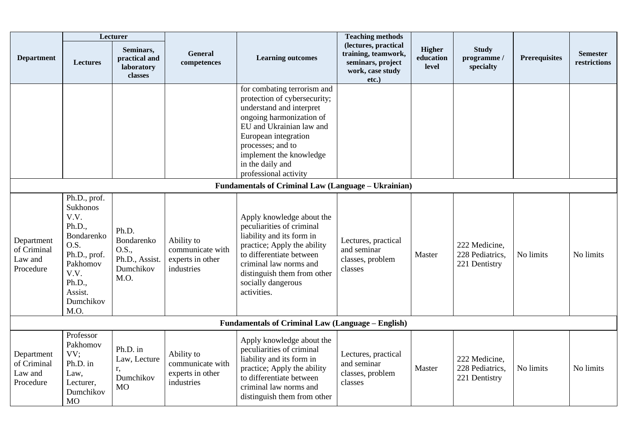|                                                            | Lecturer                                                                                                                                              |                                                                     |                                                                  |                                                                                                                                                                                                                                                                      | <b>Teaching methods</b>                                                                       |                                     |                                                   |                      |                                 |  |
|------------------------------------------------------------|-------------------------------------------------------------------------------------------------------------------------------------------------------|---------------------------------------------------------------------|------------------------------------------------------------------|----------------------------------------------------------------------------------------------------------------------------------------------------------------------------------------------------------------------------------------------------------------------|-----------------------------------------------------------------------------------------------|-------------------------------------|---------------------------------------------------|----------------------|---------------------------------|--|
| <b>Department</b>                                          | <b>Lectures</b>                                                                                                                                       | Seminars,<br>practical and<br>laboratory<br>classes                 | <b>General</b><br>competences                                    | <b>Learning outcomes</b>                                                                                                                                                                                                                                             | (lectures, practical<br>training, teamwork,<br>seminars, project<br>work, case study<br>etc.) | <b>Higher</b><br>education<br>level | <b>Study</b><br>programme /<br>specialty          | <b>Prerequisites</b> | <b>Semester</b><br>restrictions |  |
|                                                            |                                                                                                                                                       |                                                                     |                                                                  | for combating terrorism and<br>protection of cybersecurity;<br>understand and interpret<br>ongoing harmonization of<br>EU and Ukrainian law and<br>European integration<br>processes; and to<br>implement the knowledge<br>in the daily and<br>professional activity |                                                                                               |                                     |                                                   |                      |                                 |  |
| <b>Fundamentals of Criminal Law (Language – Ukrainian)</b> |                                                                                                                                                       |                                                                     |                                                                  |                                                                                                                                                                                                                                                                      |                                                                                               |                                     |                                                   |                      |                                 |  |
| Department<br>of Criminal<br>Law and<br>Procedure          | Ph.D., prof.<br><b>Sukhonos</b><br>V.V.<br>Ph.D.,<br>Bondarenko<br>O.S.<br>Ph.D., prof.<br>Pakhomov<br>V.V.<br>Ph.D.,<br>Assist.<br>Dumchikov<br>M.O. | Ph.D.<br>Bondarenko<br>O.S.,<br>Ph.D., Assist.<br>Dumchikov<br>M.O. | Ability to<br>communicate with<br>experts in other<br>industries | Apply knowledge about the<br>peculiarities of criminal<br>liability and its form in<br>practice; Apply the ability<br>to differentiate between<br>criminal law norms and<br>distinguish them from other<br>socially dangerous<br>activities.                         | Lectures, practical<br>and seminar<br>classes, problem<br>classes                             | Master                              | 222 Medicine,<br>228 Pediatrics,<br>221 Dentistry | No limits            | No limits                       |  |
|                                                            |                                                                                                                                                       |                                                                     |                                                                  | <b>Fundamentals of Criminal Law (Language - English)</b>                                                                                                                                                                                                             |                                                                                               |                                     |                                                   |                      |                                 |  |
| Department<br>of Criminal<br>Law and<br>Procedure          | Professor<br>Pakhomov<br>VV:<br>Ph.D. in<br>Law,<br>Lecturer,<br>Dumchikov<br><b>MO</b>                                                               | Ph.D. in<br>Law, Lecture<br>r.<br>Dumchikov<br>M <sub>O</sub>       | Ability to<br>communicate with<br>experts in other<br>industries | Apply knowledge about the<br>peculiarities of criminal<br>liability and its form in<br>practice; Apply the ability<br>to differentiate between<br>criminal law norms and<br>distinguish them from other                                                              | Lectures, practical<br>and seminar<br>classes, problem<br>classes                             | Master                              | 222 Medicine,<br>228 Pediatrics,<br>221 Dentistry | No limits            | No limits                       |  |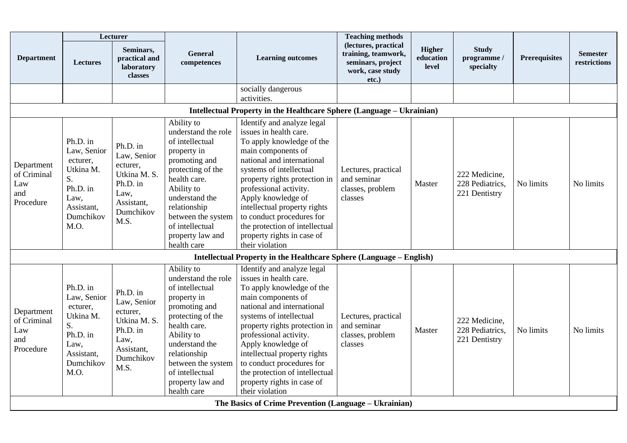|                                                                                                                   | Lecturer                                                                                                      |                                                                                                            |                                                                                                                                                                                                                                                       |                                                                                                                                                                                                                                                                                                                                                                                                   | <b>Teaching methods</b>                                                                          |                                     |                                                   |                      |                                 |  |
|-------------------------------------------------------------------------------------------------------------------|---------------------------------------------------------------------------------------------------------------|------------------------------------------------------------------------------------------------------------|-------------------------------------------------------------------------------------------------------------------------------------------------------------------------------------------------------------------------------------------------------|---------------------------------------------------------------------------------------------------------------------------------------------------------------------------------------------------------------------------------------------------------------------------------------------------------------------------------------------------------------------------------------------------|--------------------------------------------------------------------------------------------------|-------------------------------------|---------------------------------------------------|----------------------|---------------------------------|--|
| <b>Department</b>                                                                                                 | <b>Lectures</b>                                                                                               | Seminars,<br>practical and<br>laboratory<br>classes                                                        | <b>General</b><br>competences                                                                                                                                                                                                                         | <b>Learning outcomes</b>                                                                                                                                                                                                                                                                                                                                                                          | (lectures, practical<br>training, teamwork,<br>seminars, project<br>work, case study<br>$etc.$ ) | <b>Higher</b><br>education<br>level | <b>Study</b><br>programme /<br>specialty          | <b>Prerequisites</b> | <b>Semester</b><br>restrictions |  |
|                                                                                                                   |                                                                                                               |                                                                                                            |                                                                                                                                                                                                                                                       | socially dangerous                                                                                                                                                                                                                                                                                                                                                                                |                                                                                                  |                                     |                                                   |                      |                                 |  |
|                                                                                                                   |                                                                                                               |                                                                                                            |                                                                                                                                                                                                                                                       | activities.                                                                                                                                                                                                                                                                                                                                                                                       |                                                                                                  |                                     |                                                   |                      |                                 |  |
| Intellectual Property in the Healthcare Sphere (Language - Ukrainian)<br>Ability to<br>Identify and analyze legal |                                                                                                               |                                                                                                            |                                                                                                                                                                                                                                                       |                                                                                                                                                                                                                                                                                                                                                                                                   |                                                                                                  |                                     |                                                   |                      |                                 |  |
| Department<br>of Criminal<br>Law<br>and<br>Procedure                                                              | Ph.D. in<br>Law, Senior<br>ecturer,<br>Utkina M.<br>S.<br>Ph.D. in<br>Law,<br>Assistant,<br>Dumchikov<br>M.O. | Ph.D. in<br>Law, Senior<br>ecturer,<br>Utkina M. S.<br>Ph.D. in<br>Law,<br>Assistant,<br>Dumchikov<br>M.S. | understand the role<br>of intellectual<br>property in<br>promoting and<br>protecting of the<br>health care.<br>Ability to<br>understand the<br>relationship<br>between the system<br>of intellectual<br>property law and<br>health care               | issues in health care.<br>To apply knowledge of the<br>main components of<br>national and international<br>systems of intellectual<br>property rights protection in<br>professional activity.<br>Apply knowledge of<br>intellectual property rights<br>to conduct procedures for<br>the protection of intellectual<br>property rights in case of<br>their violation                               | Lectures, practical<br>and seminar<br>classes, problem<br>classes                                | Master                              | 222 Medicine.<br>228 Pediatrics.<br>221 Dentistry | No limits            | No limits                       |  |
|                                                                                                                   |                                                                                                               |                                                                                                            |                                                                                                                                                                                                                                                       | Intellectual Property in the Healthcare Sphere (Language – English)                                                                                                                                                                                                                                                                                                                               |                                                                                                  |                                     |                                                   |                      |                                 |  |
| Department<br>of Criminal<br>Law<br>and<br>Procedure                                                              | Ph.D. in<br>Law, Senior<br>ecturer,<br>Utkina M.<br>S.<br>Ph.D. in<br>Law,<br>Assistant,<br>Dumchikov<br>M.O. | Ph.D. in<br>Law, Senior<br>ecturer.<br>Utkina M. S.<br>Ph.D. in<br>Law,<br>Assistant,<br>Dumchikov<br>M.S. | Ability to<br>understand the role<br>of intellectual<br>property in<br>promoting and<br>protecting of the<br>health care.<br>Ability to<br>understand the<br>relationship<br>between the system<br>of intellectual<br>property law and<br>health care | Identify and analyze legal<br>issues in health care.<br>To apply knowledge of the<br>main components of<br>national and international<br>systems of intellectual<br>property rights protection in<br>professional activity.<br>Apply knowledge of<br>intellectual property rights<br>to conduct procedures for<br>the protection of intellectual<br>property rights in case of<br>their violation | Lectures, practical<br>and seminar<br>classes, problem<br>classes                                | Master                              | 222 Medicine,<br>228 Pediatrics,<br>221 Dentistry | No limits            | No limits                       |  |
|                                                                                                                   |                                                                                                               |                                                                                                            |                                                                                                                                                                                                                                                       | The Basics of Crime Prevention (Language – Ukrainian)                                                                                                                                                                                                                                                                                                                                             |                                                                                                  |                                     |                                                   |                      |                                 |  |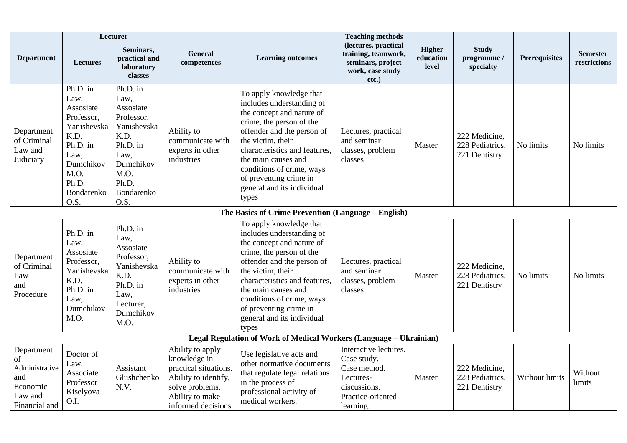|                                                                                   | Lecturer                                                                                                                                   |                                                                                                                                            |                                                                                                                                               |                                                                                                                                                                                                                                                                                                                        | <b>Teaching methods</b>                                                                                             |                                     |                                                   |                      |                                 |
|-----------------------------------------------------------------------------------|--------------------------------------------------------------------------------------------------------------------------------------------|--------------------------------------------------------------------------------------------------------------------------------------------|-----------------------------------------------------------------------------------------------------------------------------------------------|------------------------------------------------------------------------------------------------------------------------------------------------------------------------------------------------------------------------------------------------------------------------------------------------------------------------|---------------------------------------------------------------------------------------------------------------------|-------------------------------------|---------------------------------------------------|----------------------|---------------------------------|
| <b>Department</b>                                                                 | <b>Lectures</b>                                                                                                                            | Seminars,<br>practical and<br>laboratory<br>classes                                                                                        | <b>General</b><br>competences                                                                                                                 | <b>Learning outcomes</b>                                                                                                                                                                                                                                                                                               | (lectures, practical<br>training, teamwork,<br>seminars, project<br>work, case study<br>$etc.$ )                    | <b>Higher</b><br>education<br>level | <b>Study</b><br>programme /<br>specialty          | <b>Prerequisites</b> | <b>Semester</b><br>restrictions |
| Department<br>of Criminal<br>Law and<br>Judiciary                                 | Ph.D. in<br>Law,<br>Assosiate<br>Professor,<br>Yanishevska<br>K.D.<br>Ph.D. in<br>Law,<br>Dumchikov<br>M.O.<br>Ph.D.<br>Bondarenko<br>O.S. | Ph.D. in<br>Law,<br>Assosiate<br>Professor,<br>Yanishevska<br>K.D.<br>Ph.D. in<br>Law,<br>Dumchikov<br>M.O.<br>Ph.D.<br>Bondarenko<br>O.S. | Ability to<br>communicate with<br>experts in other<br>industries                                                                              | To apply knowledge that<br>includes understanding of<br>the concept and nature of<br>crime, the person of the<br>offender and the person of<br>the victim, their<br>characteristics and features.<br>the main causes and<br>conditions of crime, ways<br>of preventing crime in<br>general and its individual<br>types | Lectures, practical<br>and seminar<br>classes, problem<br>classes                                                   | Master                              | 222 Medicine,<br>228 Pediatrics,<br>221 Dentistry | No limits            | No limits                       |
|                                                                                   |                                                                                                                                            |                                                                                                                                            |                                                                                                                                               | The Basics of Crime Prevention (Language - English)                                                                                                                                                                                                                                                                    |                                                                                                                     |                                     |                                                   |                      |                                 |
| Department<br>of Criminal<br>Law<br>and<br>Procedure                              | Ph.D. in<br>Law,<br>Assosiate<br>Professor,<br>Yanishevska<br>K.D.<br>Ph.D. in<br>Law,<br>Dumchikov<br>M.O.                                | Ph.D. in<br>Law,<br>Assosiate<br>Professor,<br>Yanishevska<br>K.D.<br>Ph.D. in<br>Law,<br>Lecturer,<br>Dumchikov<br>M.O.                   | Ability to<br>communicate with<br>experts in other<br>industries                                                                              | To apply knowledge that<br>includes understanding of<br>the concept and nature of<br>crime, the person of the<br>offender and the person of<br>the victim, their<br>characteristics and features,<br>the main causes and<br>conditions of crime, ways<br>of preventing crime in<br>general and its individual<br>types | Lectures, practical<br>and seminar<br>classes, problem<br>classes                                                   | Master                              | 222 Medicine,<br>228 Pediatrics,<br>221 Dentistry | No limits            | No limits                       |
|                                                                                   |                                                                                                                                            |                                                                                                                                            |                                                                                                                                               | Legal Regulation of Work of Medical Workers (Language - Ukrainian)                                                                                                                                                                                                                                                     |                                                                                                                     |                                     |                                                   |                      |                                 |
| Department<br>of<br>Administrative<br>and<br>Economic<br>Law and<br>Financial and | Doctor of<br>Law,<br>Associate<br>Professor<br>Kiselyova<br>O.I.                                                                           | Assistant<br>Glushchenko<br>N.V.                                                                                                           | Ability to apply<br>knowledge in<br>practical situations.<br>Ability to identify,<br>solve problems.<br>Ability to make<br>informed decisions | Use legislative acts and<br>other normative documents<br>that regulate legal relations<br>in the process of<br>professional activity of<br>medical workers.                                                                                                                                                            | Interactive lectures.<br>Case study.<br>Case method.<br>Lectures-<br>discussions.<br>Practice-oriented<br>learning. | Master                              | 222 Medicine,<br>228 Pediatrics.<br>221 Dentistry | Without limits       | Without<br>limits               |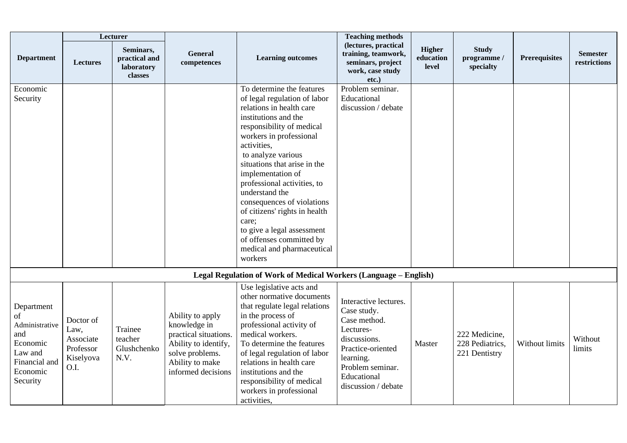|                                                                                                           | Lecturer                                                         |                                                     |                                                                                                                                               |                                                                                                                                                                                                                                                                                                                                                                                                                                                                                             | <b>Teaching methods</b>                                                                                                                                                       |                                     |                                                   |                      |                                 |
|-----------------------------------------------------------------------------------------------------------|------------------------------------------------------------------|-----------------------------------------------------|-----------------------------------------------------------------------------------------------------------------------------------------------|---------------------------------------------------------------------------------------------------------------------------------------------------------------------------------------------------------------------------------------------------------------------------------------------------------------------------------------------------------------------------------------------------------------------------------------------------------------------------------------------|-------------------------------------------------------------------------------------------------------------------------------------------------------------------------------|-------------------------------------|---------------------------------------------------|----------------------|---------------------------------|
| <b>Department</b>                                                                                         | Lectures                                                         | Seminars,<br>practical and<br>laboratory<br>classes | <b>General</b><br>competences                                                                                                                 | <b>Learning outcomes</b>                                                                                                                                                                                                                                                                                                                                                                                                                                                                    | (lectures, practical<br>training, teamwork,<br>seminars, project<br>work, case study<br>etc.)                                                                                 | <b>Higher</b><br>education<br>level | <b>Study</b><br>programme /<br>specialty          | <b>Prerequisites</b> | <b>Semester</b><br>restrictions |
| Economic<br>Security                                                                                      |                                                                  |                                                     |                                                                                                                                               | To determine the features<br>of legal regulation of labor<br>relations in health care<br>institutions and the<br>responsibility of medical<br>workers in professional<br>activities,<br>to analyze various<br>situations that arise in the<br>implementation of<br>professional activities, to<br>understand the<br>consequences of violations<br>of citizens' rights in health<br>care;<br>to give a legal assessment<br>of offenses committed by<br>medical and pharmaceutical<br>workers | Problem seminar.<br>Educational<br>discussion / debate                                                                                                                        |                                     |                                                   |                      |                                 |
|                                                                                                           |                                                                  |                                                     |                                                                                                                                               | Legal Regulation of Work of Medical Workers (Language - English)                                                                                                                                                                                                                                                                                                                                                                                                                            |                                                                                                                                                                               |                                     |                                                   |                      |                                 |
| Department<br>of<br>Administrative<br>and<br>Economic<br>Law and<br>Financial and<br>Economic<br>Security | Doctor of<br>Law,<br>Associate<br>Professor<br>Kiselyova<br>O.I. | Trainee<br>teacher<br>Glushchenko<br>N.V.           | Ability to apply<br>knowledge in<br>practical situations.<br>Ability to identify,<br>solve problems.<br>Ability to make<br>informed decisions | Use legislative acts and<br>other normative documents<br>that regulate legal relations<br>in the process of<br>professional activity of<br>medical workers.<br>To determine the features<br>of legal regulation of labor<br>relations in health care<br>institutions and the<br>responsibility of medical<br>workers in professional<br>activities,                                                                                                                                         | Interactive lectures.<br>Case study.<br>Case method.<br>Lectures-<br>discussions.<br>Practice-oriented<br>learning.<br>Problem seminar.<br>Educational<br>discussion / debate | Master                              | 222 Medicine,<br>228 Pediatrics,<br>221 Dentistry | Without limits       | Without<br>limits               |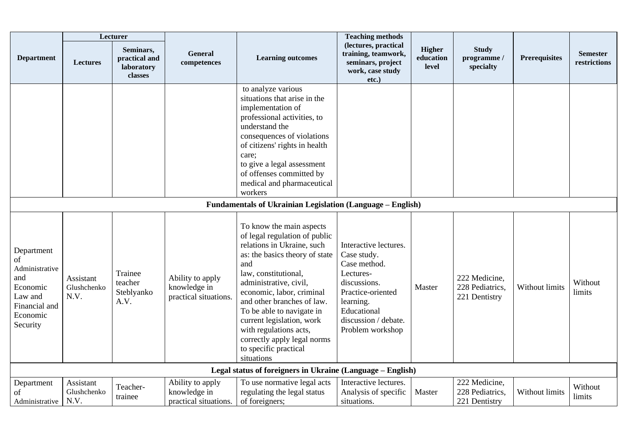|                                                                                                           | Lecturer                         |                                                     |                                                           |                                                                                                                                                                                                                                                                                                                                                                                                         | <b>Teaching methods</b>                                                                                                                                                        |                                     |                                                   |                      |                                 |  |  |
|-----------------------------------------------------------------------------------------------------------|----------------------------------|-----------------------------------------------------|-----------------------------------------------------------|---------------------------------------------------------------------------------------------------------------------------------------------------------------------------------------------------------------------------------------------------------------------------------------------------------------------------------------------------------------------------------------------------------|--------------------------------------------------------------------------------------------------------------------------------------------------------------------------------|-------------------------------------|---------------------------------------------------|----------------------|---------------------------------|--|--|
| <b>Department</b>                                                                                         | <b>Lectures</b>                  | Seminars,<br>practical and<br>laboratory<br>classes | <b>General</b><br>competences                             | <b>Learning outcomes</b>                                                                                                                                                                                                                                                                                                                                                                                | (lectures, practical<br>training, teamwork,<br>seminars, project<br>work, case study<br>etc.)                                                                                  | <b>Higher</b><br>education<br>level | <b>Study</b><br>programme /<br>specialty          | <b>Prerequisites</b> | <b>Semester</b><br>restrictions |  |  |
|                                                                                                           |                                  |                                                     |                                                           | to analyze various<br>situations that arise in the<br>implementation of<br>professional activities, to<br>understand the<br>consequences of violations<br>of citizens' rights in health<br>care;<br>to give a legal assessment<br>of offenses committed by<br>medical and pharmaceutical<br>workers                                                                                                     |                                                                                                                                                                                |                                     |                                                   |                      |                                 |  |  |
| <b>Fundamentals of Ukrainian Legislation (Language - English)</b>                                         |                                  |                                                     |                                                           |                                                                                                                                                                                                                                                                                                                                                                                                         |                                                                                                                                                                                |                                     |                                                   |                      |                                 |  |  |
| Department<br>of<br>Administrative<br>and<br>Economic<br>Law and<br>Financial and<br>Economic<br>Security | Assistant<br>Glushchenko<br>N.V. | Trainee<br>teacher<br>Steblyanko<br>A.V.            | Ability to apply<br>knowledge in<br>practical situations. | To know the main aspects<br>of legal regulation of public<br>relations in Ukraine, such<br>as: the basics theory of state<br>and<br>law, constitutional,<br>administrative, civil,<br>economic, labor, criminal<br>and other branches of law.<br>To be able to navigate in<br>current legislation, work<br>with regulations acts,<br>correctly apply legal norms<br>to specific practical<br>situations | Interactive lectures.<br>Case study.<br>Case method.<br>Lectures-<br>discussions.<br>Practice-oriented<br>learning.<br>Educational<br>discussion / debate.<br>Problem workshop | Master                              | 222 Medicine,<br>228 Pediatrics,<br>221 Dentistry | Without limits       | Without<br>limits               |  |  |
|                                                                                                           |                                  |                                                     |                                                           | Legal status of foreigners in Ukraine (Language – English)                                                                                                                                                                                                                                                                                                                                              |                                                                                                                                                                                |                                     |                                                   |                      |                                 |  |  |
| Department<br>of<br>Administrative                                                                        | Assistant<br>Glushchenko<br>N.V. | Teacher-<br>trainee                                 | Ability to apply<br>knowledge in<br>practical situations. | To use normative legal acts<br>regulating the legal status<br>of foreigners;                                                                                                                                                                                                                                                                                                                            | Interactive lectures.<br>Analysis of specific<br>situations.                                                                                                                   | Master                              | 222 Medicine,<br>228 Pediatrics,<br>221 Dentistry | Without limits       | Without<br>limits               |  |  |